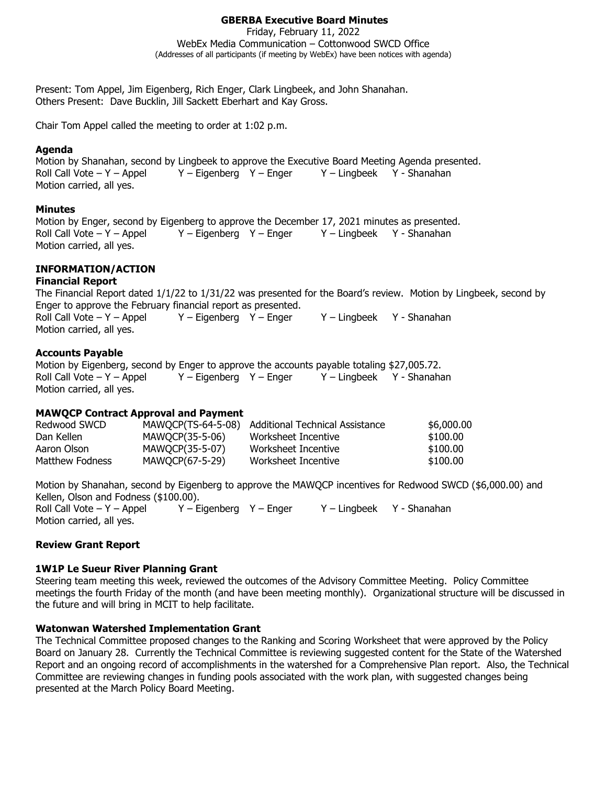# **GBERBA Executive Board Minutes**

Friday, February 11, 2022 WebEx Media Communication – Cottonwood SWCD Office (Addresses of all participants (if meeting by WebEx) have been notices with agenda)

Present: Tom Appel, Jim Eigenberg, Rich Enger, Clark Lingbeek, and John Shanahan. Others Present: Dave Bucklin, Jill Sackett Eberhart and Kay Gross.

Chair Tom Appel called the meeting to order at 1:02 p.m.

#### **Agenda**

Motion by Shanahan, second by Lingbeek to approve the Executive Board Meeting Agenda presented. Roll Call Vote – Y – Appel  $Y$  – Eigenberg Y – Enger  $Y$  – Lingbeek Y - Shanahan Motion carried, all yes.

#### **Minutes**

Motion by Enger, second by Eigenberg to approve the December 17, 2021 minutes as presented. Roll Call Vote – Y – Appel  $Y -$  Eigenberg Y – Enger  $Y -$  Lingbeek Y - Shanahan Motion carried, all yes.

# **INFORMATION/ACTION**

#### **Financial Report**

The Financial Report dated 1/1/22 to 1/31/22 was presented for the Board's review. Motion by Lingbeek, second by Enger to approve the February financial report as presented. Roll Call Vote – Y – Appel  $Y -$  Eigenberg Y – Enger  $Y -$  Lingbeek Y - Shanahan Motion carried, all yes.

# **Accounts Payable**

Motion by Eigenberg, second by Enger to approve the accounts payable totaling \$27,005.72. Roll Call Vote – Y – Appel Y – Eigenberg Y – Enger Y – Lingbeek Y - Shanahan Motion carried, all yes.

#### **MAWQCP Contract Approval and Payment**

| Redwood SWCD    | MAWQCP(TS-64-5-08) | Additional Technical Assistance | \$6,000.00 |
|-----------------|--------------------|---------------------------------|------------|
| Dan Kellen      | MAWOCP(35-5-06)    | Worksheet Incentive             | \$100.00   |
| Aaron Olson     | MAWOCP(35-5-07)    | Worksheet Incentive             | \$100.00   |
| Matthew Fodness | MAWOCP(67-5-29)    | Worksheet Incentive             | \$100.00   |

Motion by Shanahan, second by Eigenberg to approve the MAWQCP incentives for Redwood SWCD (\$6,000.00) and Kellen, Olson and Fodness (\$100.00). Roll Call Vote – Y – Appel  $Y -$  Eigenberg Y – Enger  $Y -$  Lingbeek Y - Shanahan Motion carried, all yes.

# **Review Grant Report**

#### **1W1P Le Sueur River Planning Grant**

Steering team meeting this week, reviewed the outcomes of the Advisory Committee Meeting. Policy Committee meetings the fourth Friday of the month (and have been meeting monthly). Organizational structure will be discussed in the future and will bring in MCIT to help facilitate.

#### **Watonwan Watershed Implementation Grant**

The Technical Committee proposed changes to the Ranking and Scoring Worksheet that were approved by the Policy Board on January 28. Currently the Technical Committee is reviewing suggested content for the State of the Watershed Report and an ongoing record of accomplishments in the watershed for a Comprehensive Plan report. Also, the Technical Committee are reviewing changes in funding pools associated with the work plan, with suggested changes being presented at the March Policy Board Meeting.